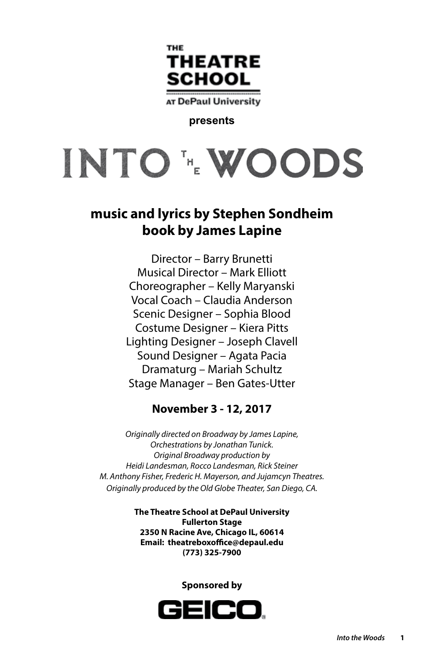

AT DePaul University

### **presents**

# **INTO TE WOODS**

# **music and lyrics by Stephen Sondheim book by James Lapine**

Director – Barry Brunetti Musical Director – Mark Elliott Choreographer – Kelly Maryanski Vocal Coach – Claudia Anderson Scenic Designer – Sophia Blood Costume Designer – Kiera Pitts Lighting Designer – Joseph Clavell Sound Designer – Agata Pacia Dramaturg – Mariah Schultz Stage Manager – Ben Gates-Utter

## **November 3 - 12, 2017**

*Originally directed on Broadway by James Lapine, Orchestrations by Jonathan Tunick. Original Broadway production by Heidi Landesman, Rocco Landesman, Rick Steiner M. Anthony Fisher, Frederic H. Mayerson, and Jujamcyn Theatres. Originally produced by the Old Globe Theater, San Diego, CA.*

> **The Theatre School at DePaul University Fullerton Stage 2350 N Racine Ave, Chicago IL, 60614 Email: theatreboxoffice@depaul.edu (773) 325-7900**

### **Sponsored by**

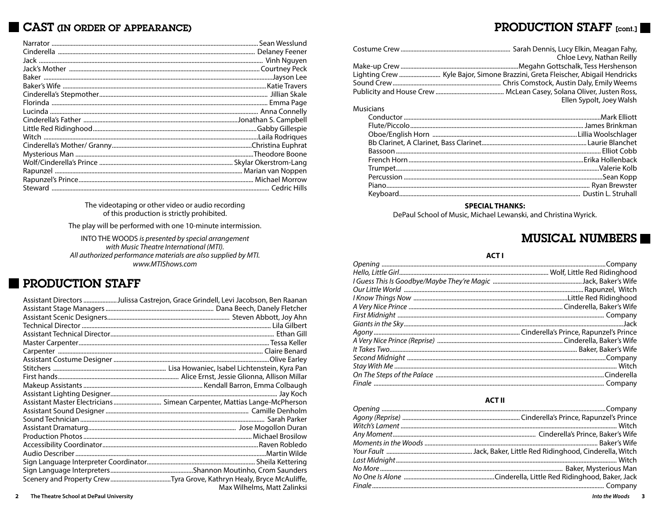# CAST (IN ORDER OF APPEARANCE)

The videotaping or other video or audio recording of this production is strictly prohibited.

The play will be performed with one 10-minute intermission.

INTO THE WOODS is presented by special arrangement with Music Theatre International (MTI). All authorized performance materials are also supplied by MTI. www.MTIShows.com

# **PRODUCTION STAFF**

| Assistant Directors Julissa Castrejon, Grace Grindell, Levi Jacobson, Ben Raanan |                             |
|----------------------------------------------------------------------------------|-----------------------------|
|                                                                                  |                             |
|                                                                                  |                             |
|                                                                                  |                             |
|                                                                                  |                             |
|                                                                                  |                             |
|                                                                                  |                             |
|                                                                                  |                             |
|                                                                                  |                             |
|                                                                                  |                             |
|                                                                                  |                             |
|                                                                                  |                             |
| Assistant Master Electricians Simean Carpenter, Mattias Lange-McPherson          |                             |
|                                                                                  |                             |
|                                                                                  |                             |
|                                                                                  |                             |
|                                                                                  |                             |
|                                                                                  |                             |
|                                                                                  |                             |
|                                                                                  |                             |
|                                                                                  |                             |
|                                                                                  |                             |
|                                                                                  | Max Wilhelms, Matt Zalinksi |

# **PRODUCTION STAFF** [cont.]

|                                                                                | Chloe Levy, Nathan Reilly |
|--------------------------------------------------------------------------------|---------------------------|
|                                                                                |                           |
| Lighting Crew  Kyle Bajor, Simone Brazzini, Greta Fleischer, Abigail Hendricks |                           |
|                                                                                |                           |
|                                                                                |                           |
|                                                                                | Ellen Sypolt, Joey Walsh  |
| <b>Musicians</b>                                                               |                           |
|                                                                                |                           |
|                                                                                |                           |
|                                                                                |                           |
|                                                                                |                           |
|                                                                                |                           |
|                                                                                |                           |
|                                                                                |                           |
|                                                                                |                           |
|                                                                                |                           |
|                                                                                |                           |

### **SPECIAL THANKS:**

DePaul School of Music, Michael Lewanski, and Christina Wyrick.

# **MUSICAL NUMBERS**

### **ACTI**

### **ACT II**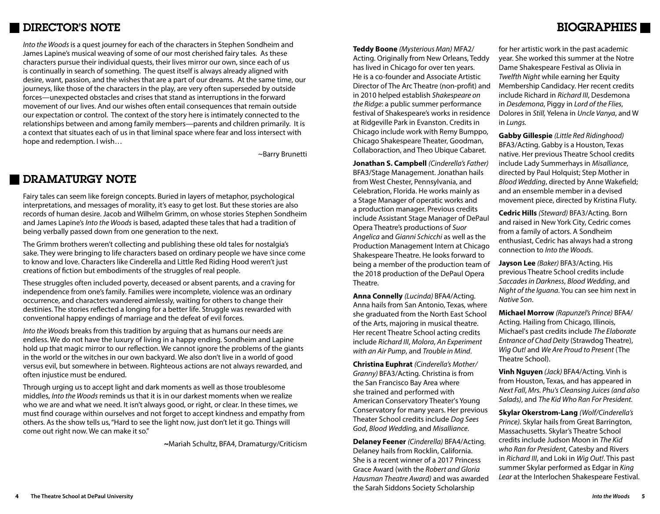# DIRECTOR'S NOTE

*Into the Woods* is a quest journey for each of the characters in Stephen Sondheim and James Lapine's musical weaving of some of our most cherished fairy tales. As these characters pursue their individual quests, their lives mirror our own, since each of us is continually in search of something. The quest itself is always already aligned with desire, want, passion, and the wishes that are a part of our dreams. At the same time, our journeys, like those of the characters in the play, are very often superseded by outside forces—unexpected obstacles and crises that stand as interruptions in the forward movement of our lives. And our wishes often entail consequences that remain outside our expectation or control. The context of the story here is intimately connected to the relationships between and among family members—parents and children primarily. It is a context that situates each of us in that liminal space where fear and loss intersect with hope and redemption. I wish…

~Barry Brunetti

# DRAMATURGY NOTE

Fairy tales can seem like foreign concepts. Buried in layers of metaphor, psychological interpretations, and messages of morality, it's easy to get lost. But these stories are also records of human desire. Jacob and Wilhelm Grimm, on whose stories Stephen Sondheim and James Lapine's *Into the Woods* is based, adapted these tales that had a tradition of being verbally passed down from one generation to the next.

The Grimm brothers weren't collecting and publishing these old tales for nostalgia's sake. They were bringing to life characters based on ordinary people we have since come to know and love. Characters like Cinderella and Little Red Riding Hood weren't just creations of fiction but embodiments of the struggles of real people.

These struggles often included poverty, deceased or absent parents, and a craving for independence from one's family. Families were incomplete, violence was an ordinary occurrence, and characters wandered aimlessly, waiting for others to change their destinies. The stories reflected a longing for a better life. Struggle was rewarded with conventional happy endings of marriage and the defeat of evil forces.

*Into the Woods* breaks from this tradition by arguing that as humans our needs are endless. We do not have the luxury of living in a happy ending. Sondheim and Lapine hold up that magic mirror to our reflection. We cannot ignore the problems of the giants in the world or the witches in our own backyard. We also don't live in a world of good versus evil, but somewhere in between. Righteous actions are not always rewarded, and often injustice must be endured.

Through urging us to accept light and dark moments as well as those troublesome middles, *Into the Woods* reminds us that it is in our darkest moments when we realize who we are and what we need. It isn't always good, or right, or clear. In these times, we must find courage within ourselves and not forget to accept kindness and empathy from others. As the show tells us, "Hard to see the light now, just don't let it go. Things will come out right now. We can make it so."

**~**Mariah Schultz, BFA4, Dramaturgy/Criticism

**Teddy Boone** *(Mysterious Man)* MFA2/ Acting. Originally from New Orleans, Teddy has lived in Chicago for over ten years. He is a co-founder and Associate Artistic Director of The Arc Theatre (non-profit) and in 2010 helped establish *Shakespeare on the Ridge*: a public summer performance festival of Shakespeare's works in residence at Ridgeville Park in Evanston. Credits in Chicago include work with Remy Bumppo, Chicago Shakespeare Theater, Goodman, Collaboraction, and Theo Ubique Cabaret.

**Jonathan S. Campbell** *(Cinderella's Father)* BFA3/Stage Management. Jonathan hails from West Chester, Pennsylvania, and Celebration, Florida. He works mainly as a Stage Manager of operatic works and a production manager. Previous credits include Assistant Stage Manager of DePaul Opera Theatre's productions of *Suor Angelica* and *Gianni Schicchi* as well as the Production Management Intern at Chicago Shakespeare Theatre. He looks forward to being a member of the production team of the 2018 production of the DePaul Opera Theatre.

**Anna Connelly** *(Lucinda)* BFA4/Acting. Anna hails from San Antonio, Texas, where she graduated from the North East School of the Arts, majoring in musical theatre. Her recent Theatre School acting credits include *Richard III*, *Molora*, *An Experiment with an Air Pump*, and *Trouble in Mind*.

**Christina Euphrat** *(Cinderella's Mother/ Granny)* BFA3/Acting. Christina is from the San Francisco Bay Area where she trained and performed with American Conservatory Theater's Young Conservatory for many years. Her previous Theater School credits include *Dog Sees God*, *Blood Wedding,* and *Misalliance*.

**Delaney Feener** *(Cinderella)* BFA4/Acting. Delaney hails from Rocklin, California. She is a recent winner of a 2017 Princess Grace Award (with the *Robert and Gloria Hausman Theatre Award)* and was awarded the Sarah Siddons Society Scholarship

for her artistic work in the past academic year. She worked this summer at the Notre Dame Shakespeare Festival as Olivia in *Twelfth Night* while earning her Equity Membership Candidacy. Her recent credits include Richard in *Richard III*, Desdemona in *Desdemona*, Piggy in *Lord of the Flies*, Dolores in *Still,* Yelena in *Uncle Vanya*, and W in *Lungs.*

**Gabby Gillespie** *(Little Red Ridinghood)* BFA3/Acting. Gabby is a Houston, Texas native. Her previous Theatre School credits include Lady Summerhays in *Misalliance*, directed by Paul Holquist; Step Mother in *Blood Wedding*, directed by Anne Wakefield; and an ensemble member in a devised movement piece, directed by Kristina Fluty.

**Cedric Hills** *(Steward)* BFA3/Acting. Born and raised in New York City, Cedric comes from a family of actors. A Sondheim enthusiast, Cedric has always had a strong connection to *Into the Woods*.

**Jayson Lee** *(Baker)* BFA3/Acting. His previous Theatre School credits include *Saccades in Darkness*, *Blood Wedding*, and *Night of the Iguana*. You can see him next in *Native Son*.

**Michael Morrow** *(Rapunzel's Prince)* BFA4/ Acting. Hailing from Chicago, Illinois, Michael's past credits include *The Elaborate Entrance of Chad Deity* (Strawdog Theatre), *Wig Out!* and *We Are Proud to Present* (The Theatre School).

**Vinh Nguyen** *(Jack)* BFA4/Acting. Vinh is from Houston, Texas, and has appeared in *Next Fall*, *Mrs. Phu's Cleansing Juices (and also Salads)*, and *The Kid Who Ran For President.*

**Skylar Okerstrom-Lang** *(Wolf/Cinderella's Prince).* Skylar hails from Great Barrington, Massachusetts. Skylar's Theatre School credits include Judson Moon in *The Kid who Ran for President*, Catesby and Rivers in *Richard III*, and Loki in *Wig Out!*. This past summer Skylar performed as Edgar in *King Lear* at the Interlochen Shakespeare Festival.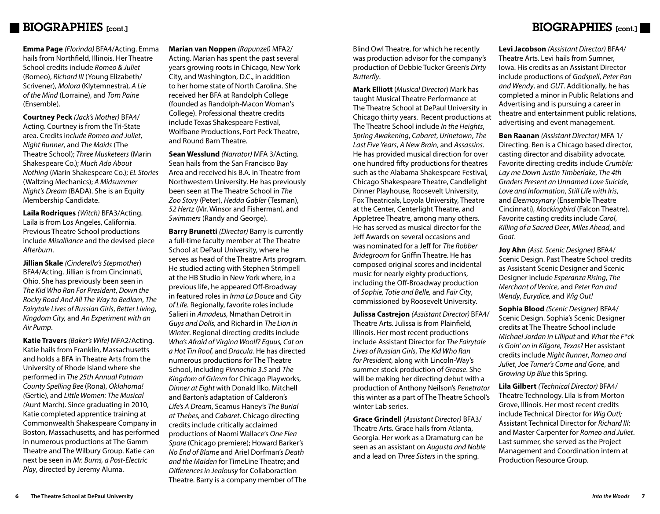# BIOGRAPHIES [cont.]

**Emma Page** *(Florinda)* BFA4/Acting. Emma hails from Northfield, Illinois. Her Theatre School credits include *Romeo & Juliet* (Romeo), *Richard III* (Young Elizabeth/ Scrivener), *Molora* (Klytemnestra), *A Lie of the Mind* (Lorraine), and *Tom Paine* (Ensemble).

**Courtney Peck** *(Jack's Mother)* BFA4/ Acting. Courtney is from the Tri-State area. Credits i*nclude Romeo and Juliet*, *Night Runner*, and *The Maids* (The Theatre School); *Three Musketeers* (Marin Shakespeare Co.); *Much Ado About Nothing* (Marin Shakespeare Co.); *EL Stories* (Waltzing Mechanics); *A Midsummer Night's Dream* (BADA). She is an Equity Membership Candidate.

**Laila Rodriques** *(Witch)* BFA3/Acting. Laila is from Los Angeles, California. Previous Theatre School productions include *Misalliance* and the devised piece *Afterburn*.

**Jillian Skale** *(Cinderella's Stepmother*) BFA4/Acting. Jillian is from Cincinnati, Ohio. She has previously been seen in *The Kid Who Ran For President*, *Down the Rocky Road And All The Way to Bedlam*, *The Fairytale Lives of Russian Girls*, *Better Living*, *Kingdom City,* and *An Experiment with an Air Pump*.

**Katie Travers** *(Baker's Wife)* MFA2/Acting. Katie hails from Franklin, Massachusetts and holds a BFA in Theatre Arts from the University of Rhode Island where she performed in *The 25th Annual Putnam County Spelling Bee* (Rona), *Oklahoma! (*Gertie)*,* and *Little Women: The Musical (*Aunt March). Since graduating in 2010, Katie completed apprentice training at Commonwealth Shakespeare Company in Boston, Massachusetts, and has performed in numerous productions at The Gamm Theatre and The Wilbury Group. Katie can next be seen in *Mr. Burns, a Post-Electric Play*, directed by Jeremy Aluma.

**Marian van Noppen** *(Rapunzel)* MFA2/ Acting. Marian has spent the past several years growing roots in Chicago, New York City, and Washington, D.C., in addition to her home state of North Carolina. She received her BFA at Randolph College (founded as Randolph-Macon Woman's College). Professional theatre credits include Texas Shakespeare Festival, Wolfbane Productions, Fort Peck Theatre, and Round Barn Theatre.

**Sean Wesslund** *(Narrator)* MFA 3/Acting. Sean hails from the San Francisco Bay Area and received his B.A. in Theatre from Northwestern University. He has previously been seen at The Theatre School in *The Zoo Story* (Peter), *Hedda Gabler* (Tesman), *52 Hertz* (Mr. Winsor and Fisherman), and *Swimmers* (Randy and George).

**Barry Brunetti** *(Director)* Barry is currently a full-time faculty member at The Theatre School at DePaul University, where he serves as head of the Theatre Arts program. He studied acting with Stephen Strimpell at the HB Studio in New York where, in a previous life, he appeared Off-Broadway in featured roles in *Irma La Douce* and *City of Life.* Regionally, favorite roles include Salieri in *Amadeus,* Nmathan Detroit in *Guys and Dolls,* and Richard in *The Lion in Winter*. Regional directing credits include *Who's Afraid of Virgina Woolf? Equus, Cat on a Hot Tin Roof,* and *Dracula.* He has directed numerous productions for The Theatre School, including *Pinnochio 3.5* and *The Kingdom of Grimm* for Chicago Playworks, *Dinner at Eight* with Donald Ilko, Mitchell and Barton's adaptation of Calderon's *Life's A Dream*, Seamus Haney's *The Burial at Thebes,* and *Cabaret*. Chicago directing credits include critically acclaimed productions of Naomi Wallace's *One Flea Spare* (Chicago premiere); Howard Barker's *No End of Blame* and Ariel Dorfman's *Death and the Maiden* for TimeLine Theatre; and *Differences in Jealousy* for Collaboraction Theatre. Barry is a company member of The

Blind Owl Theatre, for which he recently was production advisor for the company's production of Debbie Tucker Green's *Dirty Butterfly*.

**Mark Elliott** (*Musical Director*) Mark has taught Musical Theatre Performance at The Theatre School at DePaul University in Chicago thirty years. Recent productions at The Theatre School include *In the Heights*, *Spring Awakening*, *Cabaret*, *Urinetown*, *The Last Five Years*, *A New Brain*, and *Assassins*. He has provided musical direction for over one hundred fifty productions for theatres such as the Alabama Shakespeare Festival, Chicago Shakespeare Theatre, Candlelight Dinner Playhouse, Roosevelt University, Fox Theatricals, Loyola University, Theatre at the Center, Centerlight Theatre, and Appletree Theatre, among many others. He has served as musical director for the Jeff Awards on several occasions and was nominated for a Jeff for *The Robber Bridegroom* for Griffin Theatre. He has composed original scores and incidental music for nearly eighty productions, including the Off-Broadway production of *Sophie, Totie and Belle,* and *Fair City*, commissioned by Roosevelt University.

**Julissa Castrejon** *(Assistant Director)* BFA4/ Theatre Arts. Julissa is from Plainfield, Illinois. Her most recent productions include Assistant Director for *The Fairytale Lives of Russian Girls*, *The Kid Who Ran for President*, along with Lincoln-Way's summer stock production of *Grease*. She will be making her directing debut with a production of Anthony Neilson's *Penetrator* this winter as a part of The Theatre School's winter Lab series.

**Grace Grindell** *(Assistant Director)* BFA3/ Theatre Arts. Grace hails from Atlanta, Georgia. Her work as a Dramaturg can be seen as an assistant on *Augusta and Noble* and a lead on *Three Sisters* in the spring.

**Levi Jacobson** *(Assistant Director)* BFA4/ Theatre Arts. Levi hails from Sumner, Iowa. His credits as an Assistant Director include productions of *Godspell*, *Peter Pan and Wendy*, and *GUT*. Additionally, he has completed a minor in Public Relations and Advertising and is pursuing a career in theatre and entertainment public relations, advertising and event management.

**Ben Raanan** *(Assistant Director)* MFA 1/ Directing. Ben is a Chicago based director, casting director and disability advocate. Favorite directing credits include *Crumble: Lay me Down Justin Timberlake*, *The 4th Graders Present an Unnamed Love Suicide*, *Love and Information*, *Still Life with Iris*, and *Eleemosynary* (Ensemble Theatre Cincinnati), *Mockingbird* (Falcon Theatre). Favorite casting credits include *Carol*, *Killing of a Sacred Deer*, *Miles Ahead*, and *Goat*.

**Joy Ahn** *(Asst. Scenic Designer)* BFA4/ Scenic Design. Past Theatre School credits as Assistant Scenic Designer and Scenic Designer include *Esperanza Rising*, *The Merchant of Venice*, and *Peter Pan and Wendy*, *Eurydice,* and *Wig Out!*

**Sophia Blood** *(Scenic Designer)* BFA4/ Scenic Design. Sophia's Scenic Designer credits at The Theatre School include *Michael Jordan in Lilliput* and *What the F\*ck is Goin' on in Kilgore, Texas?* Her assistant credits include *Night Runner*, *Romeo and Juliet*, *Joe Turner's Come and Gone*, and *Growing Up Blue* this Spring.

**Lila Gilbert** *(Technical Director)* BFA4/ Theatre Technology. Lila is from Morton Grove, Illinois. Her most recent credits include Technical Director for *Wig Out!;*  Assistant Technical Director for *Richard III*; and Master Carpenter for *Romeo and Juliet*. Last summer, she served as the Project Management and Coordination intern at Production Resource Group.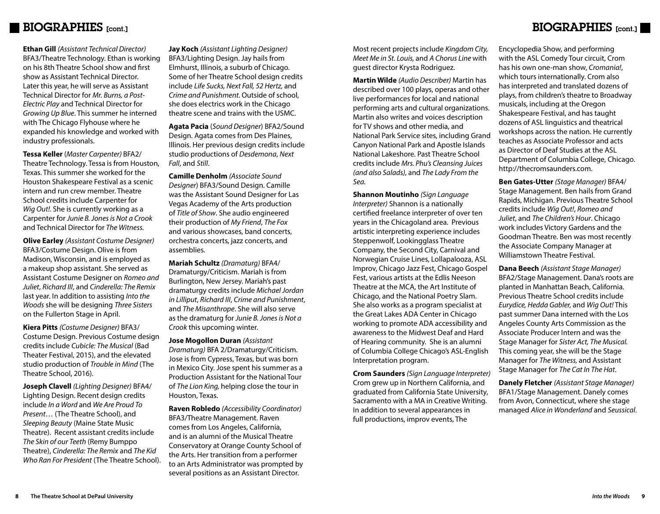# $\mathbf{BIOGRAPHIES}_{\text{front1}}$

# BIOGRAPHIES [cont.]

**Ethan Gill** *(Assistant Technical Director)* BFA3/Theatre Technology. Ethan is working on his 8th Theatre School show and first show as Assistant Technical Director. Later this year, he will serve as Assistant Technical Director for *Mr. Burns, a Post-Electric Play* and Technical Director for *Growing Up Blue*. This summer he interned with The Chicago Flyhouse where he expanded his knowledge and worked with industry professionals.

**Tessa Keller** (*Master Carpenter)* BFA2/ Theatre Technology. Tessa is from Houston, Texas. This summer she worked for the Houston Shakespeare Festival as a scenic intern and run crew member. Theatre School credits include Carpenter for *Wig Out!.* She is currently working as a Carpenter for *Junie B. Jones is Not a Crook* and Technical Director for *The Witness.* 

**Olive Earley** *(Assistant Costume Designer)*  BFA3/Costume Design. Olive is from Madison, Wisconsin, and is employed as a makeup shop assistant. She served as Assistant Costume Designer on *Romeo and Juliet*, *Richard III*, and *Cinderella: The Remix* last year. In addition to assisting *Into the Woods* she will be designing *Three Sisters* on the Fullerton Stage in April.

**Kiera Pitts** *(Costume Designer)* BFA3/ Costume Design. Previous Costume design credits include *Cubicle: The Musical* (Bad Theater Festival, 2015), and the elevated studio production of *Trouble in Mind* (The Theatre School, 2016).

**Joseph Clavell** *(Lighting Designer)* BFA4/ Lighting Design. Recent design credits include *In a Word* and *We Are Proud To Present*… (The Theatre School), and *Sleeping Beauty* (Maine State Music Theatre). Recent assistant credits include *The Skin of our Teeth* (Remy Bumppo Theatre), *Cinderella: The Remix* and *The Kid Who Ran For President* (The Theatre School).

**Jay Koch** *(Assistant Lighting Designer)*  BFA3/Lighting Design. Jay hails from Elmhurst, Illinois, a suburb of Chicago. Some of her Theatre School design credits include *Life Sucks, Next Fall, 52 Hertz,* and *Crime and Punishment.* Outside of school, she does electrics work in the Chicago theatre scene and trains with the USMC.

**Agata Pacia** (*Sound Designer*) BFA2/Sound Design. Agata comes from Des Plaines, Illinois. Her previous design credits include studio productions of *Desdemona*, *Next Fall*, and *Still*.

**Camille Denholm** *(Associate Sound Designer*) BFA3/Sound Design. Camille was the Assistant Sound Designer for Las Vegas Academy of the Arts production of *Title of Show*. She audio engineered their production of *My Friend*, *The Fox* and various showcases, band concerts, orchestra concerts, jazz concerts, and assemblies.

**Mariah Schultz** *(Dramaturg)* BFA4/ Dramaturgy/Criticism. Mariah is from Burlington, New Jersey. Mariah's past dramaturgy credits include *Michael Jordan in Lilliput*, *Richard III*, *Crime and Punishment*, and *The Misanthrope*. She will also serve as the dramaturg for *Junie B. Jones is Not a Crook* this upcoming winter.

**Jose Mogollon Duran** *(Assistant Dramaturg)* BFA 2/Dramaturgy/Criticism. Jose is from Cypress, Texas, but was born in Mexico City. Jose spent his summer as a Production Assistant for the National Tour of *The Lion King,* helping close the tour in Houston, Texas.

**Raven Robledo** *(Accessibility Coordinator)*  BFA3/Theatre Management. Raven comes from Los Angeles, California, and is an alumni of the Musical Theatre Conservatory at Orange County School of the Arts. Her transition from a performer to an Arts Administrator was prompted by several positions as an Assistant Director.

Most recent projects include *Kingdom City, Meet Me in St. Louis,* and *A Chorus Line* with guest director Krysta Rodriguez.

**Martin Wilde** *(Audio Describer)* Martin has described over 100 plays, operas and other live performances for local and national performing arts and cultural organizations. Martin also writes and voices description for TV shows and other media, and National Park Service sites, including Grand Canyon National Park and Apostle Islands National Lakeshore. Past Theatre School credits include *Mrs. Phu's Cleansing Juices (and also Salads),* and *The Lady From the Sea.*

**Shannon Moutinho** *(Sign Language Interpreter)* Shannon is a nationally certified freelance interpreter of over ten years in the Chicagoland area. Previous artistic interpreting experience includes Steppenwolf, Lookingglass Theatre Company, the Second City, Carnival and Norwegian Cruise Lines, Lollapalooza, ASL Improv, Chicago Jazz Fest, Chicago Gospel Fest, various artists at the Edlis Neeson Theatre at the MCA, the Art Institute of Chicago, and the National Poetry Slam. She also works as a program specialist at the Great Lakes ADA Center in Chicago working to promote ADA accessibility and awareness to the Midwest Deaf and Hard of Hearing community. She is an alumni of Columbia College Chicago's ASL-English Interpretation program.

**Crom Saunders** *(Sign Language Interpreter)*  Crom grew up in Northern California, and graduated from California State University, Sacramento with a MA in Creative Writing. In addition to several appearances in full productions, improv events, The

Encyclopedia Show, and performing with the ASL Comedy Tour circuit, Crom has his own one-man show, *Cromania!*, which tours internationally. Crom also has interpreted and translated dozens of plays, from children's theatre to Broadway musicals, including at the Oregon Shakespeare Festival, and has taught dozens of ASL linguistics and theatrical workshops across the nation. He currently teaches as Associate Professor and acts as Director of Deaf Studies at the ASL Department of Columbia College, Chicago. http://thecromsaunders.com.

**Ben Gates-Utter** *(Stage Manager)* BFA4/ Stage Management. Ben hails from Grand Rapids, Michigan. Previous Theatre School credits include *Wig Out!*, *Romeo and Juliet*, and *The Children's Hour*. Chicago work includes Victory Gardens and the Goodman Theatre. Ben was most recently the Associate Company Manager at Williamstown Theatre Festival.

**Dana Beech** *(Assistant Stage Manager)* BFA2/Stage Management. Dana's roots are planted in Manhattan Beach, California. Previous Theatre School credits include *Eurydice, Hedda Gabler,* and *Wig Out!* This past summer Dana interned with the Los Angeles County Arts Commission as the Associate Producer Intern and was the Stage Manager for *Sister Act, The Musical.*  This coming year, she will be the Stage Manager for *The Witness,* and Assistant Stage Manager for *The Cat In The Hat*.

**Danely Fletcher** *(Assistant Stage Manager)* BFA1/Stage Management. Danely comes from Avon, Connecticut, where she stage managed *Alice in Wonderland* and *Seussical*.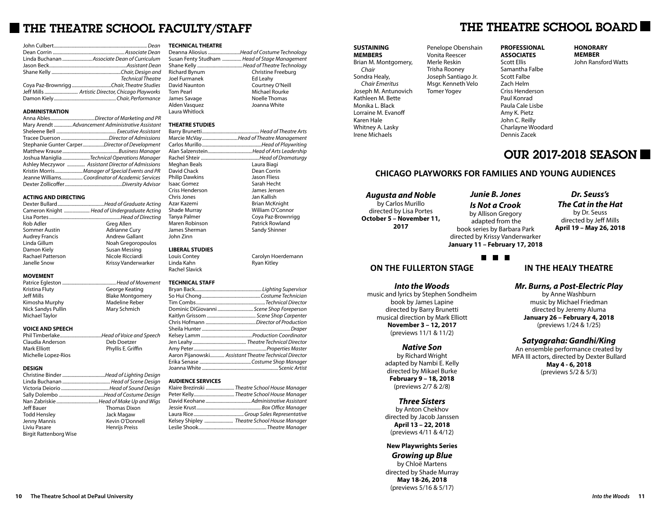# THE THEATRE SCHOOL FACULTY/STAFF

| <b>Technical Theatre</b> |
|--------------------------|
|                          |
|                          |
|                          |
|                          |

#### **ADMINISTRATION**

| Mary Arendt  Advancement Administrative Assistant |
|---------------------------------------------------|
|                                                   |
|                                                   |
| Stephanie Gunter CarperDirector of Development    |
|                                                   |
| Joshua Maniglia Technical Operations Manager      |
| Ashley Meczywor  Assistant Director of Admissions |
|                                                   |
|                                                   |
|                                                   |
|                                                   |

#### **ACTING AND DIRECTING**

|                          | Cameron Knight  Head of Undergraduate Acting |
|--------------------------|----------------------------------------------|
|                          |                                              |
| Rob Adler                | Greg Allen                                   |
| Sommer Austin            | <b>Adrianne Cury</b>                         |
| <b>Audrey Francis</b>    | <b>Andrew Gallant</b>                        |
| Linda Gillum             | Noah Gregoropoulos                           |
| Damon Kiely              | Susan Messing                                |
| <b>Rachael Patterson</b> | Nicole Ricciardi                             |
| Janelle Snow             | Krissy Vanderwarker                          |
|                          |                                              |

# **MOVEMENT**<br>Patrice Egleston

Patrice Egleston .............................................*Head of Movement* Kristina Fluty **George Keating**<br>Jeff Mills **George Communist Communist Communist Communist Communist Communist Communist Communist Communist Co** Kimosha Murphy **Madeline Reber**<br>Nick Sandys Pullin Mary Schmich Nick Sandys Pullin Michael Taylor

#### **VOICE AND SPEECH**

|                     | Phil TimberlakeHead of Voice and Speech |
|---------------------|-----------------------------------------|
| Claudia Anderson    | Deb Doetzer                             |
| <b>Mark Elliott</b> | Phyllis E. Griffin                      |
| Michelle Lopez-Rios |                                         |
|                     |                                         |

Blake Montgomery

#### **DESIGN**

| Jeff Bauer                    | <b>Thomas Dixon</b>   |
|-------------------------------|-----------------------|
| <b>Todd Hensley</b>           | Jack Magaw            |
| Jenny Mannis                  | Kevin O'Donnell       |
| Liviu Pasare                  | <b>Henrijs Preiss</b> |
| <b>Birgit Rattenborg Wise</b> |                       |

#### **TECHNICAL THEATRE**

|                      | Deanna Aliosius Head of Costume Technology    |
|----------------------|-----------------------------------------------|
|                      | Susan Fenty Studham  Head of Stage Management |
|                      |                                               |
| <b>Richard Bynum</b> | <b>Christine Freeburg</b>                     |
| Joel Furmanek        | Ed Leahy                                      |
| David Naunton        | Courtney O'Neill                              |
| <b>Tom Pearl</b>     | Michael Rourke                                |
| James Savage         | Noelle Thomas                                 |
| Alden Vasquez        | Joanna White                                  |
| Laura Whitlock       |                                               |

#### **THEATRE STUDIES**

| Marcie McVayHead of Theatre Management       |  |
|----------------------------------------------|--|
|                                              |  |
|                                              |  |
|                                              |  |
| Meghan Beals<br>Laura Biagi                  |  |
| David Chack<br>Dean Corrin                   |  |
| <b>Jason Fliess</b><br><b>Philip Dawkins</b> |  |
| <b>Isaac Gomez</b><br>Sarah Hecht            |  |
| Criss Henderson<br>James Jensen              |  |
| Chris Jones<br>Jan Kallish                   |  |
| Azar Kazemi<br><b>Brian McKnight</b>         |  |
| William O'Connor<br>Shade Murray             |  |
| Tanya Palmer<br>Coya Paz-Brownrigg           |  |
| Maren Robinson<br><b>Patrick Rowland</b>     |  |
| James Sherman<br>Sandy Shinner               |  |
| John Zinn                                    |  |

Louis Contey Carolyn Hoerdemann Ryan Kitley

#### **TECHNICAL STAFF**

**LIBERAL STUDIES**

Rachel Slavick

| Dominic DiGiovanni  Scene Shop Foreperson             |
|-------------------------------------------------------|
|                                                       |
|                                                       |
|                                                       |
|                                                       |
|                                                       |
|                                                       |
| Aaron Pijanowski Assistant Theatre Technical Director |
|                                                       |
|                                                       |
|                                                       |

# **AUDIENCE SERVICES**

| Klaire Brezinski  Theatre School House Manager |
|------------------------------------------------|
|                                                |
|                                                |
|                                                |
|                                                |
| Kelsey Shipley  Theatre School House Manager   |
|                                                |
|                                                |

# THE THEATRE SCHOOL BOARD

#### **PROFESSIONAL ASSOCIATES HONORARY MEMBER** John Ransford Watts

Scott Ellis Samantha Falbe Scott Falbe Zach Helm Criss Henderson Paul Konrad Paula Cale Lisbe Amy K. Pietz John C. Reilly Charlayne Woodard Dennis Zacek

# OUR 2017-2018 SEASON

### **CHICAGO PLAYWORKS FOR FAMILIES AND YOUNG AUDIENCES**

Penelope Obenshain Vonita Reescer Merle Reskin Trisha Rooney Joseph Santiago Jr. Msgr. Kenneth Velo Tomer Yogev

*Augusta and Noble* by Carlos Murillo directed by Lisa Portes **October 5 – November 11, 2017**

**SUSTAINING MEMBERS** Brian M. Montgomery, *Chair* Sondra Healy, *Chair Emeritus* Joseph M. Antunovich Kathleen M. Bette Monika L. Black Lorraine M. Evanoff Karen Hale Whitney A. Lasky Irene Michaels

*Junie B. Jones* 

*Is Not a Crook* by Allison Gregory adapted from the book series by Barbara Park directed by Krissy Vanderwarker **January 11 – February 17, 2018**

### *The Cat in the Hat* by Dr. Seuss directed by Jeff Mills **April 19 – May 26, 2018**

*Dr. Seuss's* 

### 6 6 6

### **ON THE FULLERTON STAGE**

### *Into the Woods*

music and lyrics by Stephen Sondheim book by James Lapine directed by Barry Brunetti musical direction by Mark Elliott **November 3 – 12, 2017**  (previews 11/1 & 11/2)

### *Native Son*

by Richard Wright adapted by Nambi E. Kelly directed by Mikael Burke **February 9 – 18, 2018**  (previews 2/7 & 2/8)

#### *Three Sisters*

by Anton Chekhov directed by Jacob Janssen **April 13 – 22, 2018**  (previews 4/11 & 4/12)

### **New Playwrights Series**

*Growing up Blue* by Chloë Martens directed by Shade Murray **May 18-26, 2018** (previews 5/16 & 5/17)

# **IN THE HEALY THEATRE**

### *Mr. Burns, a Post-Electric Play*

by Anne Washburn music by Michael Friedman directed by Jeremy Aluma **January 26 – February 4, 2018**  (previews 1/24 & 1/25)

### *Satyagraha: Gandhi/King*

An ensemble performance created by MFA III actors, directed by Dexter Bullard **May 4 - 6, 2018**  (previews 5/2 & 5/3)